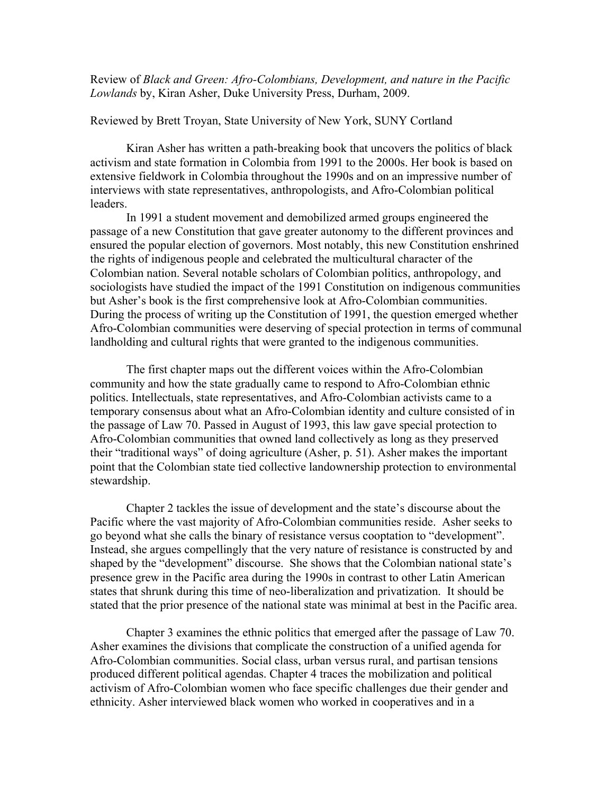Review of *Black and Green: Afro-Colombians, Development, and nature in the Pacific Lowlands* by, Kiran Asher, Duke University Press, Durham, 2009.

## Reviewed by Brett Troyan, State University of New York, SUNY Cortland

Kiran Asher has written a path-breaking book that uncovers the politics of black activism and state formation in Colombia from 1991 to the 2000s. Her book is based on extensive fieldwork in Colombia throughout the 1990s and on an impressive number of interviews with state representatives, anthropologists, and Afro-Colombian political leaders.

In 1991 a student movement and demobilized armed groups engineered the passage of a new Constitution that gave greater autonomy to the different provinces and ensured the popular election of governors. Most notably, this new Constitution enshrined the rights of indigenous people and celebrated the multicultural character of the Colombian nation. Several notable scholars of Colombian politics, anthropology, and sociologists have studied the impact of the 1991 Constitution on indigenous communities but Asher's book is the first comprehensive look at Afro-Colombian communities. During the process of writing up the Constitution of 1991, the question emerged whether Afro-Colombian communities were deserving of special protection in terms of communal landholding and cultural rights that were granted to the indigenous communities.

The first chapter maps out the different voices within the Afro-Colombian community and how the state gradually came to respond to Afro-Colombian ethnic politics. Intellectuals, state representatives, and Afro-Colombian activists came to a temporary consensus about what an Afro-Colombian identity and culture consisted of in the passage of Law 70. Passed in August of 1993, this law gave special protection to Afro-Colombian communities that owned land collectively as long as they preserved their "traditional ways" of doing agriculture (Asher, p. 51). Asher makes the important point that the Colombian state tied collective landownership protection to environmental stewardship.

Chapter 2 tackles the issue of development and the state's discourse about the Pacific where the vast majority of Afro-Colombian communities reside. Asher seeks to go beyond what she calls the binary of resistance versus cooptation to "development". Instead, she argues compellingly that the very nature of resistance is constructed by and shaped by the "development" discourse. She shows that the Colombian national state's presence grew in the Pacific area during the 1990s in contrast to other Latin American states that shrunk during this time of neo-liberalization and privatization. It should be stated that the prior presence of the national state was minimal at best in the Pacific area.

Chapter 3 examines the ethnic politics that emerged after the passage of Law 70. Asher examines the divisions that complicate the construction of a unified agenda for Afro-Colombian communities. Social class, urban versus rural, and partisan tensions produced different political agendas. Chapter 4 traces the mobilization and political activism of Afro-Colombian women who face specific challenges due their gender and ethnicity. Asher interviewed black women who worked in cooperatives and in a